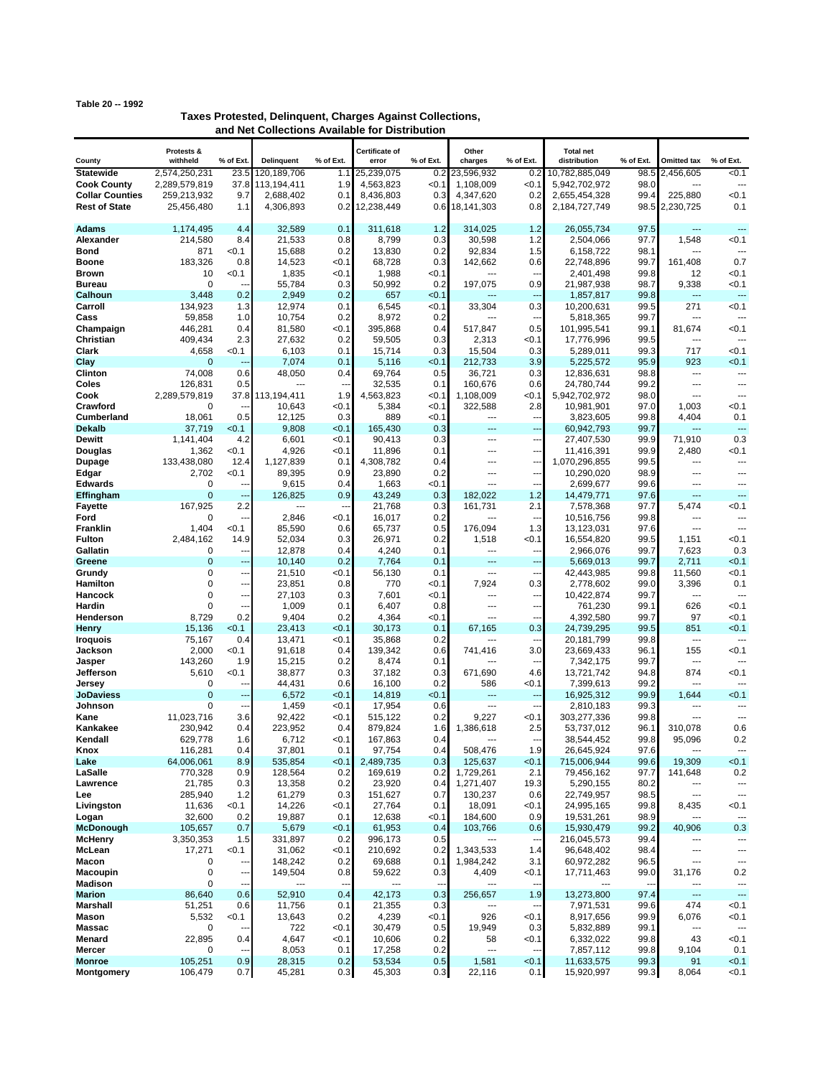## **Table 20 -- 1992**

| Taxes Protested, Delinguent, Charges Against Collections, |  |
|-----------------------------------------------------------|--|
| and Net Collections Available for Distribution            |  |

|                                                | Protests &          |                          |                        |                       | Certificate of     |              | Other                       |                | <b>Total net</b>         |              |                    |                          |
|------------------------------------------------|---------------------|--------------------------|------------------------|-----------------------|--------------------|--------------|-----------------------------|----------------|--------------------------|--------------|--------------------|--------------------------|
| County                                         | withheld            | % of Ext                 | <b>Delinguent</b>      | % of Ext.             | error              | % of Ext.    | charges                     | % of Ext.      | distribution             | % of Ext.    | <b>Omitted tax</b> | % of Ext.                |
| <b>Statewide</b>                               | 2,574,250,231       | 23.5                     | 120.189.706            | 1.1                   | 25,239,075         | 0.2          | 23,596,932                  | 0.2            | 10,782,885,049           | 98.5         | 2,456,605          | < 0.1                    |
| <b>Cook County</b>                             | 2,289,579,819       | 37.8                     | 113,194,411            | 1.9                   | 4.563.823          | < 0.1        | 1,108,009                   | < 0.1          | 5.942.702.972            | 98.0         |                    | ---                      |
| <b>Collar Counties</b><br><b>Rest of State</b> | 259,213,932         | 9.7                      | 2,688,402<br>4,306,893 | 0.1                   | 8,436,803          | 0.3          | 4,347,620<br>18,141,303     | 0.2            | 2,655,454,328            | 99.4<br>98.5 | 225,880            | < 0.1<br>0.1             |
|                                                | 25,456,480          | 1.1                      |                        | 0.2                   | 12,238,449         | 0.6          |                             | 0.8            | 2,184,727,749            |              | 2,230,725          |                          |
| <b>Adams</b>                                   | 1,174,495           | 4.4                      | 32,589                 | 0.1                   | 311,618            | 1.2          | 314.025                     | 1.2            | 26,055,734               | 97.5         | ---                | ---                      |
| Alexander                                      | 214,580             | 8.4                      | 21,533                 | 0.8                   | 8,799              | 0.3          | 30,598                      | 1.2            | 2,504,066                | 97.7         | 1,548              | <0.1                     |
| Bond                                           | 871                 | <0.1                     | 15,688                 | 0.2                   | 13,830             | 0.2          | 92,834                      | 1.5            | 6,158,722                | 98.1         |                    |                          |
| <b>Boone</b>                                   | 183,326             | 0.8                      | 14,523                 | < 0.1                 | 68,728             | 0.3          | 142,662                     | 0.6            | 22,748,896               | 99.7         | 161,408            | 0.7                      |
| <b>Brown</b>                                   | 10                  | < 0.1                    | 1,835                  | < 0.1                 | 1,988              | < 0.1        | ---                         | ---            | 2,401,498                | 99.8         | 12                 | <0.1                     |
| Bureau                                         | 0                   |                          | 55,784                 | 0.3                   | 50,992             | 0.2          | 197,075                     | 0.9            | 21,987,938               | 98.7         | 9,338              | < 0.1                    |
| Calhoun                                        | 3,448               | 0.2                      | 2,949                  | 0.2                   | 657                | < 0.1        | ---                         | ---            | 1,857,817                | 99.8         | ---                | ---                      |
| Carroll                                        | 134,923             | 1.3                      | 12,974                 | 0.1                   | 6,545              | < 0.1        | 33,304                      | 0.3            | 10,200,631               | 99.5         | 271                | < 0.1                    |
| Cass                                           | 59,858              | 1.0                      | 10,754                 | 0.2                   | 8,972              | 0.2          | ---                         | ---            | 5,818,365                | 99.7         | ---                |                          |
| Champaign                                      | 446,281             | 0.4                      | 81,580                 | < 0.1                 | 395,868            | 0.4          | 517,847                     | 0.5            | 101,995,541              | 99.1         | 81,674             | < 0.1                    |
| Christian                                      | 409,434             | 2.3                      | 27,632                 | 0.2                   | 59,505             | 0.3          | 2,313                       | < 0.1          | 17,776,996               | 99.5         | ---<br>717         | ---<br>< 0.1             |
| Clark<br>Clay                                  | 4,658<br>0          | < 0.1<br>Ξ.              | 6,103<br>7,074         | 0.1<br>0.1            | 15,714<br>5,116    | 0.3<br>< 0.1 | 15,504<br>212,733           | 0.3<br>3.9     | 5,289,011<br>5,225,572   | 99.3<br>95.9 | 923                | < 0.1                    |
| Clinton                                        | 74,008              | 0.6                      | 48,050                 | 0.4                   | 69,764             | 0.5          | 36,721                      | 0.3            | 12,836,631               | 98.8         | ---                | $\overline{a}$           |
| Coles                                          | 126,831             | 0.5                      | ---                    |                       | 32,535             | 0.1          | 160,676                     | 0.6            | 24,780,744               | 99.2         | ---                | ---                      |
| Cook                                           | 2,289,579,819       | 37.8                     | 113,194,411            | 1.9                   | 4,563,823          | < 0.1        | 1,108,009                   | < 0.1          | 5,942,702,972            | 98.0         | ---                | ---                      |
| Crawford                                       | 0                   |                          | 10,643                 | < 0.1                 | 5,384              | <0.1         | 322,588                     | 2.8            | 10,981,901               | 97.0         | 1,003              | < 0.1                    |
| Cumberland                                     | 18,061              | 0.5                      | 12,125                 | 0.3                   | 889                | < 0.1        | ---                         | ---            | 3,823,605                | 99.8         | 4,404              | 0.1                      |
| <b>Dekalb</b>                                  | 37,719              | < 0.1                    | 9,808                  | < 0.1                 | 165,430            | 0.3          | $---$                       | $\overline{a}$ | 60,942,793               | 99.7         | ---                | ---                      |
| <b>Dewitt</b>                                  | 1,141,404           | 4.2                      | 6,601                  | < 0.1                 | 90,413             | 0.3          | ---                         | ---            | 27,407,530               | 99.9         | 71,910             | 0.3                      |
| Douglas                                        | 1,362               | < 0.1                    | 4,926                  | < 0.1                 | 11,896             | 0.1          | $---$                       | ---            | 11,416,391               | 99.9         | 2,480              | <0.1                     |
| Dupage                                         | 133,438,080         | 12.4                     | 1,127,839              | 0.1                   | 4,308,782          | 0.4          | $\overline{a}$              | ---            | 1,070,296,855            | 99.5         | ---                | ---                      |
| Edgar                                          | 2,702               | <0.1                     | 89,395                 | 0.9                   | 23,890             | 0.2          | ---                         | ---            | 10,290,020               | 98.9         | ---                | ---                      |
| <b>Edwards</b>                                 | 0<br>$\overline{0}$ | --                       | 9,615                  | 0.4                   | 1,663              | < 0.1        | $\sim$                      | ---            | 2,699,677                | 99.6         | ---                | $\overline{a}$<br>---    |
| Effingham<br><b>Fayette</b>                    | 167,925             | 2.2                      | 126,825<br>---         | 0.9<br>$\overline{a}$ | 43,249<br>21,768   | 0.3<br>0.3   | 182,022<br>161,731          | 1.2<br>2.1     | 14,479,771<br>7,578,368  | 97.6<br>97.7 | щ,<br>5,474        | < 0.1                    |
| Ford                                           | 0                   |                          | 2,846                  | < 0.1                 | 16,017             | 0.2          |                             | ---            | 10,516,756               | 99.8         | ---                | ⊷                        |
| Franklin                                       | 1,404               | < 0.1                    | 85,590                 | 0.6                   | 65,737             | 0.5          | 176,094                     | 1.3            | 13,123,031               | 97.6         | ---                | ---                      |
| <b>Fulton</b>                                  | 2,484,162           | 14.9                     | 52,034                 | 0.3                   | 26,971             | 0.2          | 1,518                       | < 0.1          | 16,554,820               | 99.5         | 1,151              | < 0.1                    |
| Gallatin                                       | 0                   | ---                      | 12,878                 | 0.4                   | 4,240              | 0.1          | ---                         | ---            | 2,966,076                | 99.7         | 7,623              | 0.3                      |
| Greene                                         | $\overline{0}$      | ---                      | 10,140                 | 0.2                   | 7,764              | 0.1          | ---                         | ⊷              | 5,669,013                | 99.7         | 2,711              | < 0.1                    |
| Grundy                                         | 0                   | --                       | 21,510                 | < 0.1                 | 56,130             | 0.1          | $\overline{a}$              | $\overline{a}$ | 42,443,985               | 99.8         | 11,560             | <0.1                     |
| Hamilton                                       | 0                   | ---                      | 23,851                 | 0.8                   | 770                | < 0.1        | 7,924                       | 0.3            | 2,778,602                | 99.0         | 3,396              | 0.1                      |
| Hancock                                        | 0                   | --                       | 27,103                 | 0.3                   | 7,601              | <0.1         | ---                         | ---            | 10,422,874               | 99.7         | ---                |                          |
| Hardin                                         | 0                   |                          | 1,009                  | 0.1                   | 6,407              | 0.8          | $---$                       | ---            | 761,230                  | 99.1         | 626                | < 0.1                    |
| Henderson<br>Henry                             | 8,729<br>15,136     | 0.2<br>< 0.1             | 9,404<br>23,413        | 0.2<br>< 0.1          | 4,364<br>30,173    | < 0.1<br>0.1 | ---<br>67,165               | 0.3            | 4,392,580<br>24,739,295  | 99.7<br>99.5 | 97<br>851          | <0.1<br>< 0.1            |
| <b>Iroquois</b>                                | 75,167              | 0.4                      | 13,471                 | <0.1                  | 35,868             | 0.2          | ---                         | ---            | 20,181,799               | 99.8         | ---                | ---                      |
| Jackson                                        | 2,000               | < 0.1                    | 91,618                 | 0.4                   | 139,342            | 0.6          | 741,416                     | 3.0            | 23,669,433               | 96.1         | 155                | < 0.1                    |
| Jasper                                         | 143,260             | 1.9                      | 15,215                 | 0.2                   | 8,474              | 0.1          | ---                         | ---            | 7,342,175                | 99.7         | ---                | ---                      |
| Jefferson                                      | 5,610               | < 0.1                    | 38,877                 | 0.3                   | 37,182             | 0.3          | 671,690                     | 4.6            | 13,721,742               | 94.8         | 874                | < 0.1                    |
| Jersey                                         | 0                   |                          | 44,431                 | 0.6                   | 16,100             | 0.2          | 586                         | < 0.1          | 7,399,613                | 99.2         | ---                |                          |
| <b>JoDaviess</b>                               | $\overline{0}$      |                          | 6,572                  | < 0.1                 | 14,819             | < 0.1        | ---                         | ---            | 16,925,312               | 99.9         | 1.644              | < 0.1                    |
| Johnson                                        | 0                   | --                       | 1,459                  | < 0.1                 | 17,954             | 0.6          | $\overline{a}$              | ---            | 2,810,183                | 99.3         | ---                | ---                      |
| Kane                                           | 11,023,716          | 3.6                      | 92,422                 | < 0.1                 | 515,122            | 0.2          | 9,227                       | < 0.1          | 303,277,336              | 99.8         | ---                | ---                      |
| Kankakee<br>Kendall                            | 230,942<br>629,778  | 0.4<br>1.6               | 223,952<br>6,712       | 0.4<br><0.1           | 879,824<br>167.863 | 1.6<br>0.4   | 1,386,618<br>$\overline{a}$ | 2.5<br>$\sim$  | 53,737,012<br>38,544,452 | 96.1<br>99.8 | 310,078<br>95,096  | 0.6<br>0.2               |
| Knox                                           | 116,281             | 0.4                      | 37,801                 | 0.1                   | 97,754             | 0.4          | 508,476                     | 1.9            | 26,645,924               | 97.6         | ---                | ---                      |
| Lake                                           | 64,006,061          | 8.9                      | 535,854                | 0.1                   | 2,489,735          | 0.3          | 125,637                     | < 0.1          | 715,006,944              | 99.6         | 19,309             | < 0.1                    |
| LaSalle                                        | 770,328             | 0.9                      | 128,564                | 0.2                   | 169,619            | 0.2          | 1,729,261                   | 2.1            | 79,456,162               | 97.7         | 141,648            | 0.2                      |
| Lawrence                                       | 21,785              | 0.3                      | 13,358                 | 0.2                   | 23,920             | 0.4          | 1,271,407                   | 19.3           | 5,290,155                | 80.2         | ---                | ---                      |
| Lee                                            | 285,940             | 1.2                      | 61,279                 | 0.3                   | 151,627            | 0.7          | 130,237                     | 0.6            | 22,749,957               | 98.5         | ---                | ---                      |
| Livingston                                     | 11,636              | <0.1                     | 14,226                 | < 0.1                 | 27,764             | 0.1          | 18,091                      | < 0.1          | 24,995,165               | 99.8         | 8,435              | < 0.1                    |
| Logan                                          | 32,600              | 0.2                      | 19,887                 | 0.1                   | 12,638             | < 0.1        | 184,600                     | 0.9            | 19,531,261               | 98.9         |                    | ---                      |
| McDonough                                      | 105,657             | 0.7                      | 5,679                  | < 0.1                 | 61,953             | 0.4          | 103,766                     | 0.6            | 15,930,479               | 99.2         | 40,906             | 0.3                      |
| <b>McHenry</b>                                 | 3,350,353           | 1.5                      | 331,897                | 0.2                   | 996,173            | 0.5          | ---<br>1,343,533            | ---            | 216,045,573              | 99.4         | ---                | ---<br>---               |
| McLean<br>Macon                                | 17,271<br>0         | < 0.1                    | 31,062<br>148,242      | < 0.1<br>0.2          | 210,692<br>69,688  | 0.2<br>0.1   | 1,984,242                   | 1.4<br>3.1     | 96,648,402<br>60,972,282 | 98.4<br>96.5 | ---                | ---                      |
| Macoupin                                       | 0                   | $\overline{\phantom{a}}$ | 149,504                | 0.8                   | 59,622             | 0.3          | 4,409                       | < 0.1          | 17,711,463               | 99.0         | 31,176             | 0.2                      |
| Madison                                        | 0                   |                          | ---                    | --                    |                    | ٠.           | ---                         | ---            |                          |              | ---                | ---                      |
| <b>Marion</b>                                  | 86,640              | 0.6                      | 52,910                 | 0.4                   | 42,173             | 0.3          | 256,657                     | 1.9            | 13,273,800               | 97.4         | ---                | ---                      |
| Marshall                                       | 51,251              | 0.6                      | 11,756                 | 0.1                   | 21,355             | 0.3          | ---                         | ---            | 7,971,531                | 99.6         | 474                | < 0.1                    |
| Mason                                          | 5,532               | < 0.1                    | 13,643                 | 0.2                   | 4,239              | < 0.1        | 926                         | < 0.1          | 8,917,656                | 99.9         | 6,076              | < 0.1                    |
| Massac                                         | 0                   |                          | 722                    | < 0.1                 | 30,479             | 0.5          | 19,949                      | 0.3            | 5,832,889                | 99.1         | ---                | $\overline{\phantom{a}}$ |
| Menard                                         | 22,895              | 0.4                      | 4,647                  | < 0.1                 | 10,606             | 0.2          | 58                          | < 0.1          | 6,332,022                | 99.8         | 43                 | < 0.1                    |
| Mercer                                         | 0                   |                          | 8,053                  | 0.1                   | 17,258             | 0.2          | ---                         | ---            | 7,857,112                | 99.8         | 9,104              | 0.1                      |
| <b>Monroe</b>                                  | 105,251             | 0.9                      | 28,315                 | 0.2                   | 53,534             | 0.5          | 1,581                       | < 0.1          | 11,633,575               | 99.3         | 91                 | < 0.1                    |
| <b>Montgomery</b>                              | 106,479             | 0.7                      | 45,281                 | 0.3                   | 45,303             | 0.3          | 22,116                      | 0.1            | 15,920,997               | 99.3         | 8,064              | <0.1                     |